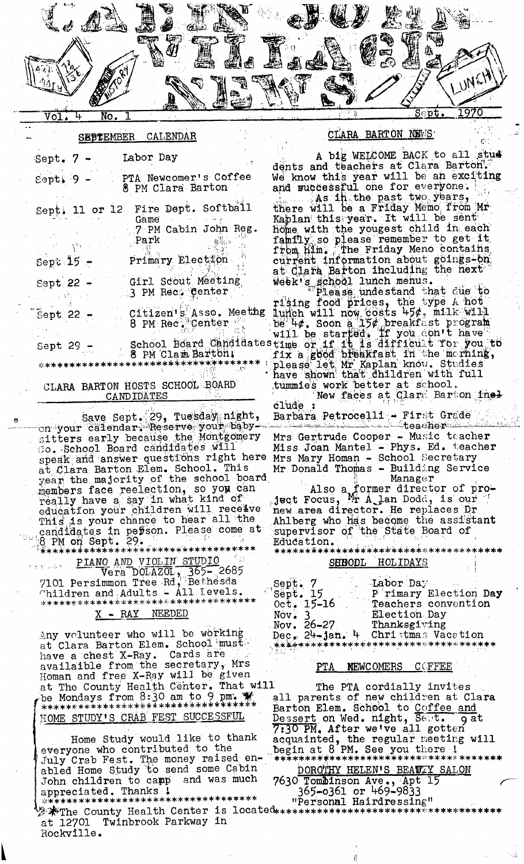

#### CALENDAR **SEPTEMBER**

| Sept. 7 -      | Labor Day                                                   |
|----------------|-------------------------------------------------------------|
| $S$ ept. 9 -   | PTA Newcomer's Coffee<br>8 PM Clara Barton                  |
| Sept. 11 or 12 | Fire Dept. Softball<br>Game<br>7 PM Cabin John Reg.<br>Park |
| Sept $15 -$    | Primary Election                                            |
| Sept $22 -$    | Girl Scout Meeting<br>3 PM Rect Center                      |
| Sept 22        | Citizen's Asso. Meeting<br>8 PM Rec. Center                 |
| Sept 29        | School Board Candidates<br>8 PM Clam Barton!                |
|                | *************************************                       |

## CLARA BARTON HOSTS SCHOOL BOARD **CANDIDATES**

Save Sept. 29, Tuesday night, on your callendar: Reserve your baby-<br>sitters early because the Montgomery<br>Co. School Board candidates will speak and answer questions right here speak and answer questions fight here<br>at Clara Barton Elem. School. This<br>year the majority of the school board<br>members face reelection, so you can<br>really have a say in what kind of<br>education your children will receive This is your chance to hear all the candidates in person. Please come at 8 PM on Sept. 29.

\*\*\*\*\*\*\*\*\*\*\*\*\*\*\*\*\*\*\*\*\*\*\*\*\*\*\*\*\*\*\*\*\*\*\*\*

PIANO AND VIOLIN STUDIO Vera DOLAZOL, 365-2685<br>mmon Tree Rd, Bethesda 7101 Persimmon Tree Rd, Bethesda<br>Children and Adults - All Levels. \*\*\*\*\*\*\*\*\*\*\*\*\*\*\*\*\*\*\*\*\*\*\*\*\* \*\*\*\*\*\*\*\*\*\*

# X - RAY NEEDED

Any volunteer who will be working<br>at Clara Barton Elem. School must have a chest X-Ray. Cards are availaible from the secretary, Mrs Homan and free X-Ray will be given \*\*\*\*: HOME STUDY'S CRAB FEST SUCCESSFUL

Home Study would like to thank everyone who contributed to the<br>July Crab Fest. The money raised en-<br>abled Home Study to send some Cabin John children to camp and was much appreciated. Thanks !

\*\*\*\*\*\*\*\*\*\*\*\*\*\*\*\*\*\*\*\*\*\*\*\*\*\*\*\*\*\*\*\*\*\*\*\* at 12701 Twinbrook Parkway in Rockville.

### CLARA BARTON NEWS

A big WELCOME BACK to all stud dents and teachers at Clara Barton. We know this year will be an exciting and successful one for everyone. As in the past two years, there will be a Friday Memo from Mr Kaplan this year. It will be sent home with the yougest child in each family so please remember to get it<br>from him. The Friday Meno contains current information about goings-bn at Clara Barton including the next week's school lunch menus. The school lunch menus.

Please undestand that the type A hot<br>
lunch will now costs 45%, milk will<br>
be 4%. Soon a 15% breakfast program<br>
will be started. If you don't have<br>
stime or if it is difficult for you to<br>
fix a good breakfast in the mernin tummies work better at school.<br>New faces at Clars Barton inel

clude

Barbara Petrocelli - First Grade

Mrs Gertrude Cooper - Music teacher Miss Joan Mantel - Phys. Ed. teacher Mrs Mary Homan - School Secretary Mr Donald Thomas - Building Service  $Manager$ 

Also a former director of pro-<br>Ject Focus, Ar A lan Dodd, is our new area director. He replaces Dr Ahlberg who has become the assistant supervisor of the State Board of Education.

\*\*\*\*\*\*\*\*\*\*\*\*\*\*\*\*\*\*\*\*\*\*\*\*\*\*\*\*\*

#### SHHODL HOLIDAYS

| Sept. 7             | Labor Day                              |
|---------------------|----------------------------------------|
| ЦÞ.<br>Sept. 15     | P rimary Election Day                  |
| $0ct. 15-16$        | Teachers convention                    |
| Nov. 3              | Election Day                           |
| Nov. $26 - 27$      | Thanksgiving                           |
| $Dec_n 24 - jan. 4$ | Christmas Vacation                     |
|                     | . ************************************ |
|                     |                                        |

#### **NEWCOMERS COFFEE**  $PTA$

The PTA cordially invites all parents of new children at Clara Barton Elem. School to Coffee and<br>Dessert on Wed. night, Sept. 9a<br>7:30 PM. After we've all gotten g at 

# DOROTHY HELEN'S BEAUTY SALON

7630 Tombinson Ave., Apt 15<br>365-0361 or 469-9833

"Personal Hairdressing"